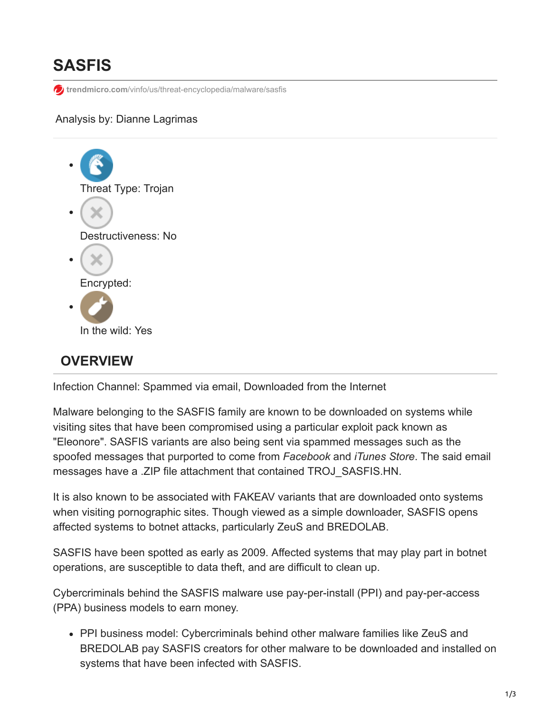# **SASFIS**

**for trendmicro.com[/vinfo/us/threat-encyclopedia/malware/sasfis](https://www.trendmicro.com/vinfo/us/threat-encyclopedia/malware/sasfis)** 

#### Analysis by: Dianne Lagrimas



## **OVERVIEW**

Infection Channel: Spammed via email, Downloaded from the Internet

Malware belonging to the SASFIS family are known to be downloaded on systems while visiting sites that have been compromised using a particular exploit pack known as "Eleonore". SASFIS variants are also being sent via spammed messages such as the spoofed messages that purported to come from *Facebook* and *iTunes Store*. The said email messages have a .ZIP file attachment that contained TROJ\_SASFIS.HN.

It is also known to be associated with FAKEAV variants that are downloaded onto systems when visiting pornographic sites. Though viewed as a simple downloader, SASFIS opens affected systems to botnet attacks, particularly ZeuS and BREDOLAB.

SASFIS have been spotted as early as 2009. Affected systems that may play part in botnet operations, are susceptible to data theft, and are difficult to clean up.

Cybercriminals behind the SASFIS malware use pay-per-install (PPI) and pay-per-access (PPA) business models to earn money.

PPI business model: Cybercriminals behind other malware families like ZeuS and BREDOLAB pay SASFIS creators for other malware to be downloaded and installed on systems that have been infected with SASFIS.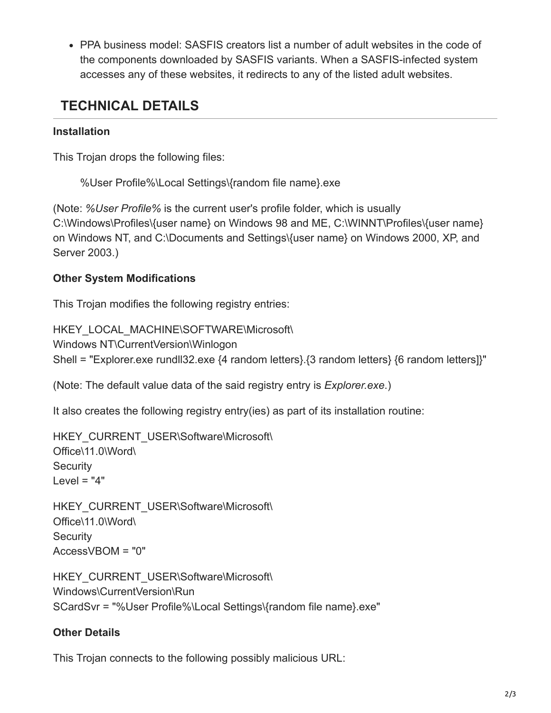PPA business model: SASFIS creators list a number of adult websites in the code of the components downloaded by SASFIS variants. When a SASFIS-infected system accesses any of these websites, it redirects to any of the listed adult websites.

## **TECHNICAL DETAILS**

#### **Installation**

This Trojan drops the following files:

%User Profile%\Local Settings\{random file name}.exe

(Note: *%User Profile%* is the current user's profile folder, which is usually C:\Windows\Profiles\{user name} on Windows 98 and ME, C:\WINNT\Profiles\{user name} on Windows NT, and C:\Documents and Settings\{user name} on Windows 2000, XP, and Server 2003.)

### **Other System Modifications**

This Trojan modifies the following registry entries:

HKEY\_LOCAL\_MACHINE\SOFTWARE\Microsoft\ Windows NT\CurrentVersion\Winlogon Shell = "Explorer.exe rundll32.exe {4 random letters}.{3 random letters} {6 random letters]}"

(Note: The default value data of the said registry entry is *Explorer.exe*.)

It also creates the following registry entry(ies) as part of its installation routine:

```
HKEY_CURRENT_USER\Software\Microsoft\
Office\11.0\Word\
Security
Level = "4"
```

```
HKEY_CURRENT_USER\Software\Microsoft\
Office\11.0\Word\
Security
AccessVBOM = "0"
```
HKEY\_CURRENT\_USER\Software\Microsoft\ Windows\CurrentVersion\Run SCardSvr = "%User Profile%\Local Settings\{random file name}.exe"

### **Other Details**

This Trojan connects to the following possibly malicious URL: